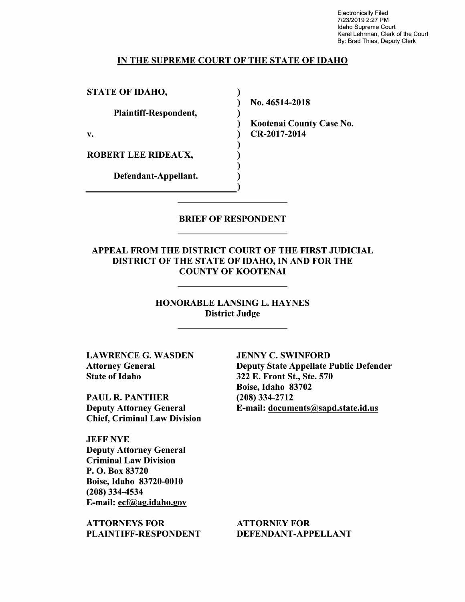Electronically Filed 7/23/2019 2:27 PM Idaho Supreme Court Karel Lehrman, Clerk of the Court By: Brad Thies, Deputy Clerk

### IN THE SUPREME COURT OF THE STATE OF IDAHO

 $\lambda$ 

STATE OF IDAHO,

Plaintiff—Respondent,

ROBERT LEE RIDEAUX,

Defendant—Appellant.

N0. 46514-2018

Kootenai County Case No. v. (a) CR-2017-2014

### BRIEF OF RESPONDENT

APPEAL FROM THE DISTRICT COURT OF THE FIRST JUDICIAL DISTRICT OF THE STATE OF IDAHO, IN AND FOR THE COUNTY OF KOOTENAI

> HONORABLE LANSING L. HAYNES District Judge

LAWRENCE G. WASDEN Attorney General State 0f Idaho

PAUL R. PANTHER Deputy Attorney General Chief, Criminal Law Division

JEFF NYE Deputy Attorney General Criminal Law Division P. O. Box 83720 Boise, Idaho 83720-0010 (208) 334-4534 E-mail: ecf@ag.idah0.gov

ATTORNEYS FOR PLAINTIFF—RESPONDENT JENNY C. SWINFORD Deputy State Appellate Public Defender 322 E. Front St., Ste. 570 Boise, Idaho 83702 (208) 334-2712 E-mail: documents@sapd.state.id.us

ATTORNEY FOR DEFENDANT-APPELLANT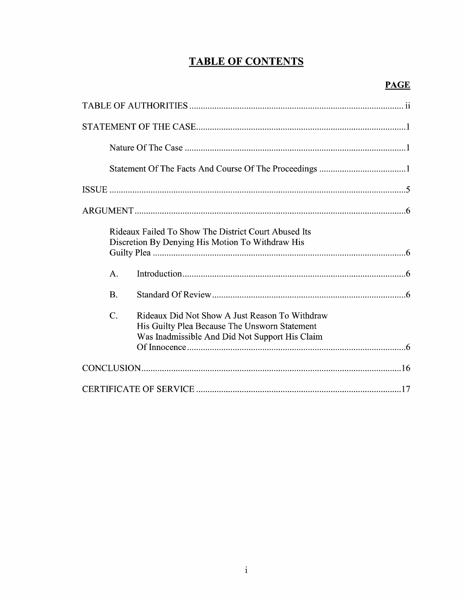# **TABLE OF CONTENTS**

|                 | Rideaux Failed To Show The District Court Abused Its<br>Discretion By Denying His Motion To Withdraw His                                          |
|-----------------|---------------------------------------------------------------------------------------------------------------------------------------------------|
| A.              |                                                                                                                                                   |
| <b>B.</b>       |                                                                                                                                                   |
| $\mathcal{C}$ . | Rideaux Did Not Show A Just Reason To Withdraw<br>His Guilty Plea Because The Unsworn Statement<br>Was Inadmissible And Did Not Support His Claim |
|                 |                                                                                                                                                   |
|                 |                                                                                                                                                   |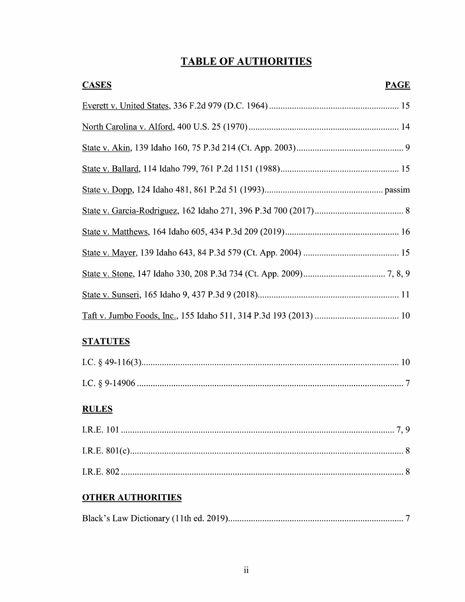# **TABLE OF AUTHORITIES**

| <b>CASES</b> | <b>PAGE</b> |
|--------------|-------------|
|              |             |
|              |             |
|              |             |
|              |             |
|              |             |
|              |             |
|              |             |
|              |             |
|              |             |
|              |             |
|              |             |

# **STATUTES**

# **RULES**

# **OTHER AUTHORITIES**

|--|--|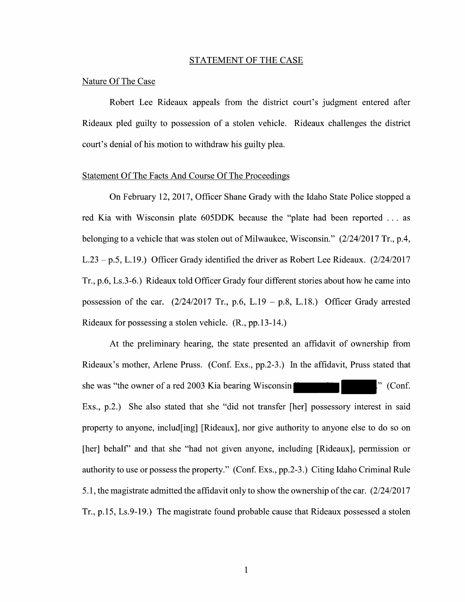#### STATEMENT OF THE CASE

### Nature Of The Case

Robert Lee Rideaux appeals from the district court's judgment entered after Rideaux pled guilty to possession of stolen vehicle. Rideaux challenges the district court's denial of his motion to withdraw his guilty plea.

### Statement Of The Facts And Course Of The Proceedings

On February 12, 2017, Officer Shane Grady with the Idaho State Police stopped a red Kia with Wisconsin plate  $605$ DDK because the "plate had been reported  $\dots$  as belonging to a vehicle that was stolen out of Milwaukee, Wisconsin."  $(2/24/2017 \text{ Tr.}, \text{p.4},$ L.23 - p.5, L.19.) Officer Grady identified the driver as Robert Lee Rideaux.  $(2/24/2017$ Tr., p.6, Ls.3-6.) Rideaux told Officer Grady four different stories about how he came into possession of the car.  $(2/24/2017 \text{ Tr}$ , p.6, L.19 – p.8, L.18.) Officer Grady arrested Rideaux for possessing a stolen vehicle.  $(R., pp.13-14.)$ 

At the preliminary hearing, the state presented an affidavit 0f ownership from Rideaux's mother, Arlene Pruss. (Conf. EXS., pp.2-3.) In the affidavit, Pruss stated that she was "the owner of a red 2003 Kia bearing Wisconsin  $\blacksquare$  (Conf. Exs., p.2.) She also stated that she "did not transfer [her] possessory interest in said property to anyone, includ[ing] [Rideaux], nor give authority t0 anyone else t0 do so 0n [her] behalf" and that she "had not given anyone, including [Rideaux], permission or authority to use or possess the property." (Conf. EXS., pp.2-3.) Citing Idaho Criminal Rule 5.1, the magistrate admitted the affidavit only to show the ownership of the car.  $(2/24/2017)$ Tr., p.15, Ls.9-19.) The magistrate found probable cause that Rideaux possessed a stolen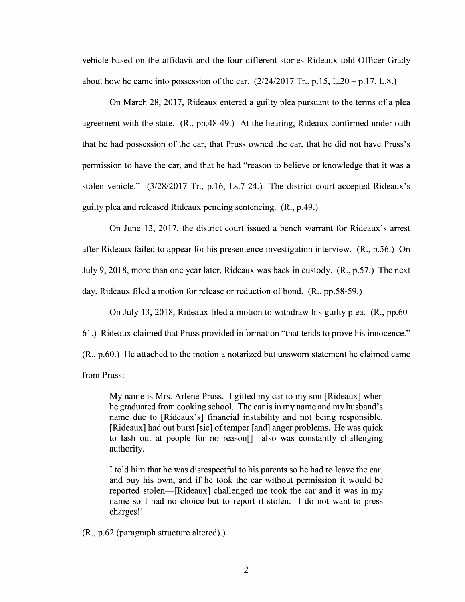vehicle based on the affidavit and the four different stories Rideaux told Officer Grady about how he came into possession of the car.  $(2/24/2017 \text{ Tr}$ , p.15, L.20 – p.17, L.8.)

On March 28, 2017, Rideaux entered a guilty plea pursuant to the terms of a plea agreement with the state. (R., pp.48-49.) At the hearing, Rideaux confirmed under oath that he had possession 0f the car, that Pruss owned the car, that he did not have Pruss's permission to have the car, and that he had "reason to believe or knowledge that it was a stolen vehicle." (3/28/2017 Tr., p.16, Ls.7-24.) The district court accepted Rideaux's guilty plea and released Rideaux pending sentencing. (R., p.49.)

On June 13, 2017, the district court issued a bench warrant for Rideaux's arrest after Rideaux failed to appear for his presentence investigation interview. (R., p.56.) On July 9, 2018, more than one year later, Rideaux was back in custody. (R., p.57.) The next day, Rideaux filed a motion for release or reduction of bond. (R., pp.58-59.)

On July 13, 2018, Rideaux filed a motion to withdraw his guilty plea. (R., pp.60-61.) Rideaux claimed that Pruss provided information "that tends t0 prove his innocence."  $(R., p.60.)$  He attached to the motion a notarized but unsworn statement he claimed came from Pruss:

My name is Mrs. Arlene Pruss. I gifted my car to my son [Rideaux] when he graduated from cooking school. The car is in my name and my husband's name due to [Rideaux's] financial instability and not being responsible. [Rideaux] had out burst [sic] of temper [and] anger problems. He was quick to lash out at people for no reason[] also was constantly challenging authority.

Itold him that he was disrespectful to his parents so he had to leave the car, and buy his own, and if he took the car Without permission it would be reported stolen—[Rideaux] challenged me took the car and it was in my name so I had no choice but to report it stolen. I do not want to press charges!

(R., p.62 (paragraph structure altered).)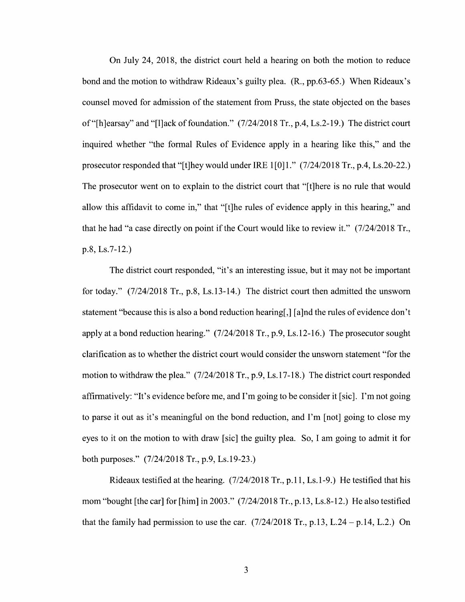On July 24, 2018, the district court held a hearing on both the motion to reduce bond and the motion to withdraw Rideaux's guilty plea. (R., pp.63-65.) When Rideaux's counsel moved for admission of the statement from Pruss, the state objected 0n the bases 0f "[h]earsay" and "[l]ack of foundation." (7/24/2018 Tr., p.4, Ls.2-19.) The district court inquired whether "the formal Rules of Evidence apply in a hearing like this," and the prosecutor responded that "[t]hey would under IRE  $1[0]1$ ." (7/24/2018 Tr., p.4, Ls.20-22.) The prosecutor went on to explain to the district court that "[t]here is no rule that would allow this affidavit to come in," that "[t]he rules of evidence apply in this hearing," and that he had "a case directly on point if the Court would like to review it."  $(7/24/2018 \text{ Tr}$ , p.8, Ls.7-12.)

The district court responded, "it's an interesting issue, but it may not be important for today."  $(7/24/2018$  Tr., p.8, Ls.13-14.) The district court then admitted the unsworn statement "because this is also a bond reduction hearing[,] [a]nd the rules of evidence don't apply at a bond reduction hearing."  $(7/24/2018 \text{ Tr.}, p.9, Ls. 12-16.)$  The prosecutor sought clarification as to Whether the district court would consider the unsworn statement "for the motion to withdraw the plea." (7/24/2018 Tr., p.9, Ls.17-18.) The district court responded affirmatively: "It's evidence before me, and I'm going t0 be consider it [sic]. I'm not going to parse it out as it's meaningful on the bond reduction, and I'm [not] going to close my eyes to it on the motion to with draw [sic] the guilty plea. So, I am going to admit it for both purposes." (7/24/2018 Tr., p.9, Ls.19-23.)

Rideaux testified at the hearing.  $(7/24/2018 \text{ Tr}., p.11, Ls.1-9.)$  He testified that his mom "bought [the car] for [him] in 2003." (7/24/2018 Tr., p.13, Ls.8-12.) He also testified that the family had permission to use the car.  $(7/24/2018 \text{ Tr}, p.13, L.24 - p.14, L.2)$  On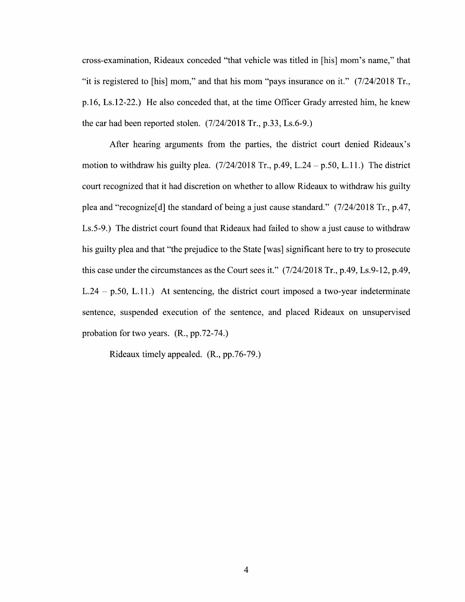cross—examination, Rideaux conceded "that vehicle was titled in [his] mom's name," that "it is registered t0 [his] mom," and that his mom "pays insurance 0n it." (7/24/2018 Tr., p.16, Ls.12-22.) He also conceded that, at the time Officer Grady arrested him, he knew the car had been reported stolen. (7/24/2018 Tr., p.33, Ls.6-9.)

After hearing arguments from the parties, the district court denied Rideaux's motion to withdraw his guilty plea.  $(7/24/2018$  Tr., p.49, L.24 – p.50, L.11.) The district court recognized that it had discretion on whether to allow Rideaux to withdraw his guilty plea and "recognize<sup>[d]</sup> the standard of being a just cause standard."  $(7/24/2018$  Tr., p.47, Ls.5-9.) The district court found that Rideaux had failed to show a just cause to withdraw his guilty plea and that "the prejudice to the State [was] significant here to try to prosecute this case under the circumstances as the Court sees it."  $(7/24/2018 \text{ Tr}, p.49, Ls.9-12, p.49,$  $L.24 - p.50$ ,  $L.11$ .) At sentencing, the district court imposed a two-year indeterminate sentence, suspended execution 0f the sentence, and placed Rideaux 0n unsupervised probation for two years. (R., pp.72-74.)

Rideaux timely appealed. (R., pp.76-79.)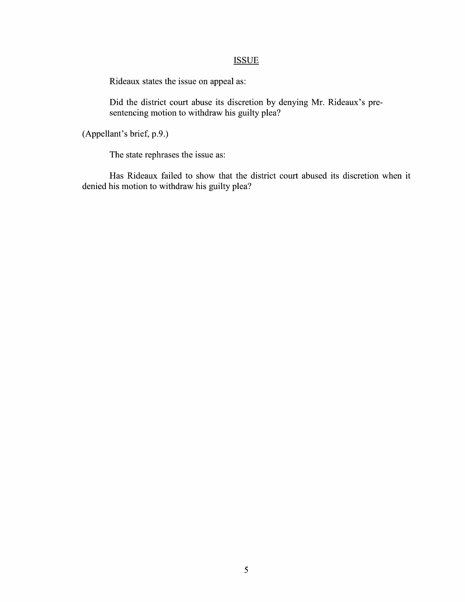## **ISSUE**

Rideaux states the issue on appeal as:

Did the district court abuse its discretion by denying Mr. Rideaux's pre sentencing motion to withdraw his guilty plea?

(Appellant's brief, p.9.)

The state rephrases the issue as:

Has Rideaux failed to show that the district court abused its discretion when it denied his motion to withdraw his guilty plea?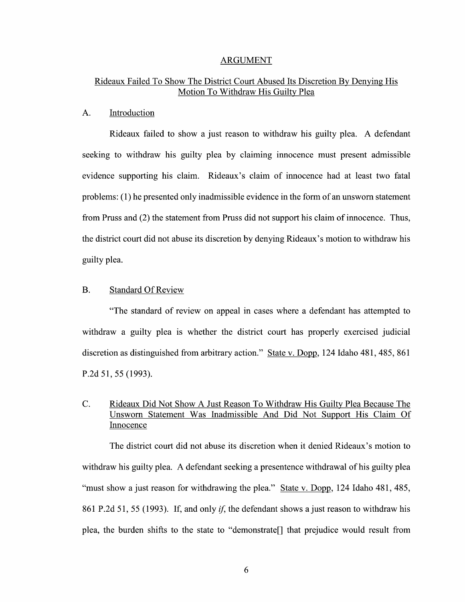#### ARGUMENT

## Rideaux Failed To Show The District Court Abused Its Discretion By Denying His Motion To Withdraw His Guilty Plea

### A. Introduction

Rideaux failed to show a just reason to withdraw his guilty plea. A defendant seeking to withdraw his guilty plea by claiming innocence must present admissible evidence supporting his claim. Rideaux's claim of innocence had at least two fatal problems: (1) he presented only inadmissible evidence in the form of an unsworn statement from Pruss and (2) the statement from Pruss did not support his claim of innocence. Thus, the district court did not abuse its discretion by denying Rideaux's motion to withdraw his guilty plea.

### B. Standard Of Review

"The standard of review on appeal in cases where a defendant has attempted to withdraw a guilty plea is whether the district court has properly exercised judicial discretion as distinguished from arbitrary action." State v. Dopp, 124 Idaho 481, 485, 861 P.2d 51, 55 (1993).

## C. Rideaux Did Not Show A Just Reason To Withdraw His Guilty Plea Because The Unsworn Statement Was Inadmissible And Did Not Support His Claim Of Innocence

The district court did not abuse its discretion when it denied Rideaux's motion to withdraw his guilty plea. A defendant seeking a presentence withdrawal of his guilty plea "must show a just reason for withdrawing the plea." State v. Dopp, 124 Idaho 481, 485, 861 P.2d 51, 55 (1993). If, and only *if*, the defendant shows a just reason to withdraw his plea, the burden shifts to the state to "demonstrate<sup>[]</sup> that prejudice would result from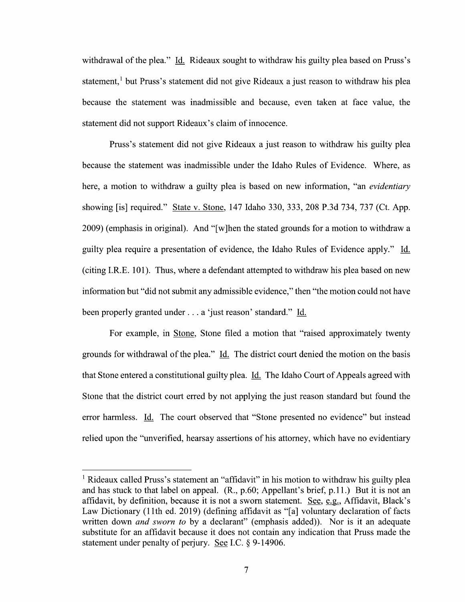withdrawal of the plea." Id. Rideaux sought to withdraw his guilty plea based on Pruss's statement,<sup>1</sup> but Pruss's statement did not give Rideaux a just reason to withdraw his plea because the statement was inadmissible and because, even taken at face value, the statement did not support Rideaux's claim of innocence.

Pruss's statement did not give Rideaux a just reason to withdraw his guilty plea because the statement was inadmissible under the Idaho Rules of Evidence. Where, as here, a motion to withdraw a guilty plea is based on new information, "an *evidentiary* showing [is] required." State V. Stone, <sup>147</sup> Idaho 330, 333, <sup>208</sup> P.3d 734, <sup>737</sup> (Ct. App.  $2009$ ) (emphasis in original). And "[w]hen the stated grounds for a motion to withdraw a guilty plea require a presentation of evidence, the Idaho Rules of Evidence apply." Id. (citing I.R.E. 101). Thus, where a defendant attempted to withdraw his plea based on new information but "did not submit any admissible evidence," then "the motion could not have been properly granted under . . . a 'just reason' standard." Id.

For example, in Stone, Stone filed a motion that "raised approximately twenty grounds for withdrawal of the plea."  $\underline{Id}$ . The district court denied the motion on the basis that Stone entered a constitutional guilty plea. Id. The Idaho Court of Appeals agreed with Stone that the district court erred by not applying the just reason standard but found the error harmless. Id. The court observed that "Stone presented no evidence" but instead relied upon the "unverified, hearsay assertions of his attorney, which have no evidentiary

<sup>&</sup>lt;sup>1</sup> Rideaux called Pruss's statement an "affidavit" in his motion to withdraw his guilty plea and has stuck to that label on appeal. (R., p.60; Appellant's brief, p.11.) But it is not an affidavit, by definition, because it is not a sworn statement. <u>See, e.g.</u>, Affidavit, Black's Law Dictionary (11th ed. 2019) (defining affidavit as "[a] voluntary declaration of facts written down *and sworn to* by a declarant" (emphasis added)). Nor is it an adequate substitute for an affidavit because it does not contain any indication that Pruss made the statement under penalty of perjury. See I.C.  $\S$  9-14906.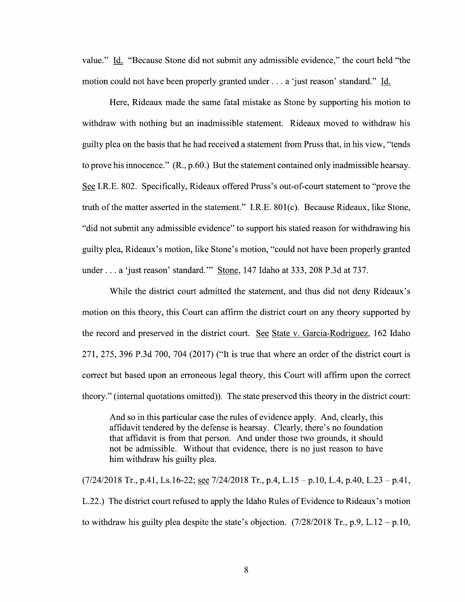value." Id. "Because Stone did not submit any admissible evidence," the court held "the motion could not have been properly granted under  $\ldots$  a 'just reason' standard." Id.

Here, Rideaux made the same fatal mistake as Stone by supporting his motion to withdraw with nothing but an inadmissible statement. Rideaux moved to withdraw his guilty plea on the basis that he had received a statement from Pruss that, in his view, "tends" to prove his innocence."  $(R, p.60)$  But the statement contained only inadmissible hearsay. See I.R.E. 802. Specifically, Rideaux offered Pruss's out-of-court statement to "prove the truth 0f the matter asserted in the statement." I.R.E. 801(0). Because Rideaux, like Stone, "did not submit any admissible evidence" t0 support his stated reason for withdrawing his guilty plea, Rideaux's motion, like Stone's motion, "could not have been properly granted under . . . a 'just reason' standard." Stone, 147 Idaho at 333, 208 P.3d at 737.

While the district court admitted the statement, and thus did not deny Rideaux's motion on this theory, this Court can affirm the district court on any theory supported by the record and preserved in the district court. See State v. Garcia-Rodriguez, 162 Idaho 271, 275, 396 P.3d 700, 704 (2017) ("It is true that Where an order of the district court is correct but based upon an erroneous legal theory, this Court will affirm upon the correct theory." (internal quotations omitted». The state preserved this theory in the district court:

And so in this particular case the rules 0f evidence apply. And, clearly, this affidavit tendered by the defense is hearsay. Clearly, there's no foundation that affidavit is from that person. And under those two grounds, it should not be admissible. Without that evidence, there is no just reason to have him withdraw his guilty plea.

 $(7/24/2018$  Tr., p.41, Ls.16-22; <u>see</u>  $7/24/2018$  Tr., p.4, L.15 – p.10, L.4, p.40, L.23 – p.41, L22.) The district court refused to apply the Idaho Rules of Evidence to Rideaux's motion to withdraw his guilty plea despite the state's objection.  $(7/28/2018 \text{ Tr}, p.9, L.12 - p.10,$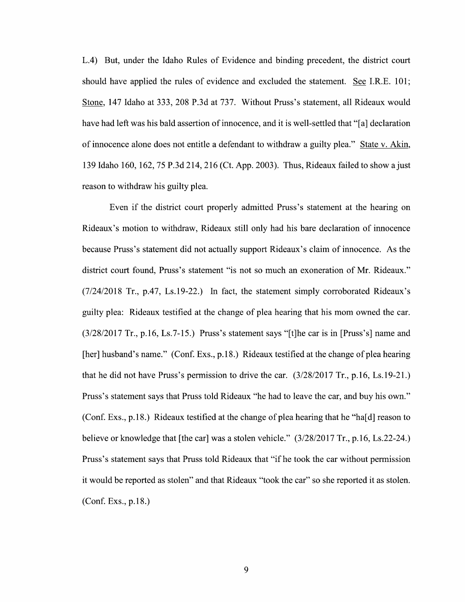L.4) But, under the Idaho Rules of Evidence and binding precedent, the district court should have applied the rules of evidence and excluded the statement. See I.R.E. 101; Stone, 147 Idaho at 333, 208 P.3d at 737. Without Pruss's statement, all Rideaux would have had left was his bald assertion of innocence, and it is well-settled that "[a] declaration 0f innocence alone does not entitle defendant to Withdraw guilty plea." State V. Akin, 139 Idaho 160, 162, 75 P.3d 214, 216 (Ct. App. 2003). Thus, Rideaux failed t0 show ajust reason to withdraw his guilty plea.

Even if the district court properly admitted Pruss's statement at the hearing on Rideaux's motion to withdraw, Rideaux still only had his bare declaration of innocence because Pruss's statement did not actually support Rideaux's claim of innocence. As the district court found, Pruss's statement "is not so much an exoneration of Mr. Rideaux."  $(7/24/2018$  Tr., p.47, Ls.19-22.) In fact, the statement simply corroborated Rideaux's guilty plea: Rideaux testified at the change 0f plea hearing that his mom owned the car. (3/28/2017 Tr., p.16, Ls.7-15.) Pruss's statement says "[t]he car is in [Pruss's] name and [her] husband's name." (Conf. Exs., p.18.) Rideaux testified at the change of plea hearing that he did not have Pruss's permission to drive the car. (3/28/2017 Tr., p.16, Ls.19-21.) Pruss's statement says that Pruss told Rideaux "he had to leave the car, and buy his own." (Conf. Exs., p. 18.) Rideaux testified at the change of plea hearing that he "ha[d] reason to believe or knowledge that [the car] was a stolen vehicle."  $(3/28/2017 \text{ Tr.}, p.16, Ls.22-24.)$ Pruss's statement says that Pruss told Rideaux that "if he took the car Without permission it would be reported as stolen" and that Rideaux "took the car" so she reported it as stolen. (Conf. Exs., p.18.)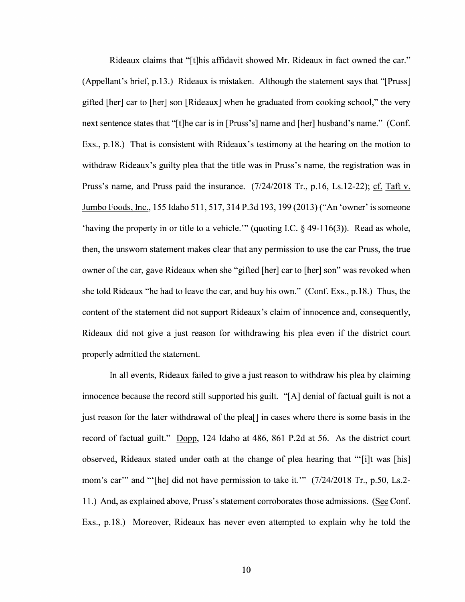Rideaux claims that "[t]his affidavit showed Mr. Rideaux in fact owned the car." (Appellant's brief, p.13.) Rideaux is mistaken. Although the statement says that "[Pruss] gifted [her] car to [her] son [Rideaux] When he graduated from cooking school," the very next sentence states that "[t]he car is in [Pruss's] name and [her] husband's name." (Conf. Exs., p.18.) That is consistent With Rideaux's testimony at the hearing on the motion to withdraw Rideaux's guilty plea that the title was in Pruss's name, the registration was in Pruss's name, and Pruss paid the insurance.  $(7/24/2018$  Tr., p.16, Ls.12-22); cf. Taft v. Jumbo Foods, Inc., 155 Idaho 511, 517, 314 P.3d 193, 199 (2013) ("An 'owner' is someone 'having the property in or title to a vehicle."" (quoting I.C.  $\S$  49-116(3)). Read as whole, then, the unsworn statement makes clear that any permission to use the car Pruss, the true owner of the car, gave Rideaux when she "gifted [her] car to [her] son" was revoked when she told Rideaux "he had to leave the car, and buy his own." (Conf. Exs., p. 18.) Thus, the content 0f the statement did not support Rideaux's claim of innocence and, consequently, Rideaux did not give a just reason for withdrawing his plea even if the district court properly admitted the statement.

In all events, Rideaux failed to give a just reason to withdraw his plea by claiming innocence because the record still supported his guilt. "[A] denial of factual guilt is not a just reason for the later Withdrawal of the plea[] in cases Where there is some basis in the record of factual guilt." Dopp, 124 Idaho at 486, 861 P.2d at 56. As the district court observed, Rideaux stated under oath at the change 0f plea hearing that "'[i]t was [his] mom's car'" and "'[he] did not have permission to take it.'" (7/24/2018 Tr., p.50, Ls.2-11.) And, as explained above, Pruss's statement corroborates those admissions. (See Conf. Exs., p.18.) Moreover, Rideaux has never even attempted to explain why he told the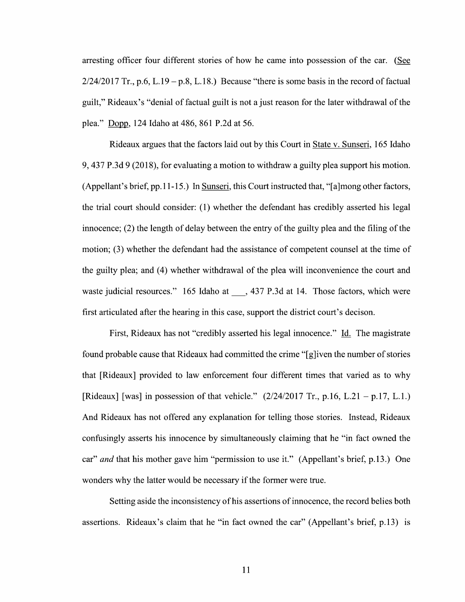arresting officer four different stories of how he came into possession of the car. (See  $2/24/2017$  Tr., p.6, L.19 – p.8, L.18.) Because "there is some basis in the record of factual guilt," Rideaux's "denial of factual guilt is not a just reason for the later withdrawal of the plea." Dopp, 124 Idaho at 486, 861 P.2d at 56.

Rideaux argues that the factors laid out by this Court in State v. Sunseri, 165 Idaho 9, 437 P.3d 9 (2018), for evaluating a motion to withdraw a guilty plea support his motion. (Appellant's brief, pp.11-15.) In Sunseri, this Court instructed that, "[a]mong other factors, the trial court should consider: (1) whether the defendant has credibly asserted his legal innocence; (2) the length 0f delay between the entry of the guilty plea and the filing of the motion; (3) whether the defendant had the assistance of competent counsel at the time 0f the guilty plea; and (4) Whether Withdrawal of the plea Will inconvenience the court and waste judicial resources." 165 Idaho at \_\_\_, 437 P.3d at 14. Those factors, which were first articulated after the hearing in this case, support the district court's decison.

First, Rideaux has not "credibly asserted his legal innocence." Id. The magistrate found probable cause that Rideaux had committed the crime "[g]iven the number of stories that [Rideaux] provided to law enforcement four different times that varied as to why [Rideaux] [was] in possession of that vehicle."  $(2/24/2017 \text{ Tr.}, p.16, L.21 - p.17, L.1.)$ And Rideaux has not offered any explanation for telling those stories. Instead, Rideaux confusingly asserts his innocence by simultaneously claiming that he "in fact owned the car" and that his mother gave him "permission to use it." (Appellant's brief, p.13.) One wonders Why the latter would be necessary if the former were true.

Setting aside the inconsistency of his assertions of innocence, the record belies both assertions. Rideaux's claim that he "in fact owned the car" (Appellant's brief, p.13) is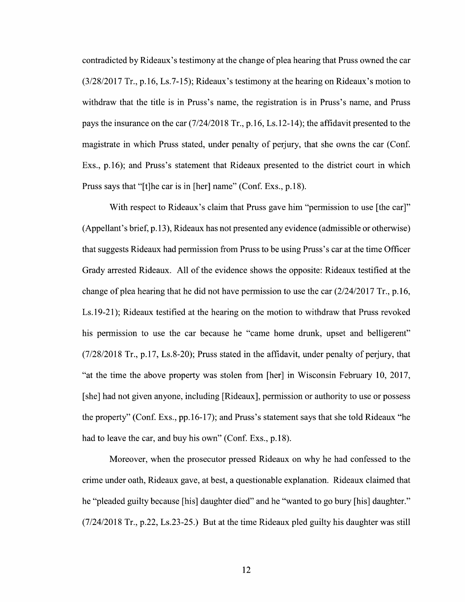contradicted by Rideaux's testimony at the change of plea hearing that Pruss owned the car (3/28/2017 Tr., p.16, Ls.7-15); Rideaux's testimony at the hearing 0n Rideaux's motion to withdraw that the title is in Pruss's name, the registration is in Pruss's name, and Pruss pays the insurance 0n the car (7/24/2018 Tr., p.16, Ls. 12-14); the affidavit presented to the magistrate in Which Pruss stated, under penalty of perjury, that she owns the car (Conf. EXS., p.16); and Pruss's statement that Rideaux presented to the district court in which Pruss says that "[t]he car is in [her] name" (Conf. Exs., p.18).

With respect to Rideaux's claim that Pruss gave him "permission to use [the car]" (Appellant's brief, p.13), Rideaux has not presented any evidence (admissible or otherwise) that suggests Rideaux had permission from Pruss t0 be using Pruss's car at the time Officer Grady arrested Rideaux. A11 0f the evidence shows the opposite: Rideaux testified at the change of plea hearing that he did not have permission to use the car (2/24/2017 Tr., p.16, Ls.19-21); Rideaux testified at the hearing on the motion to withdraw that Pruss revoked his permission to use the car because he "came home drunk, upset and belligerent" (7/28/2018 Tr., p.17, Ls.8-20); Pruss stated in the affidavit, under penalty of perjury, that "at the time the above property was stolen from [her] in Wisconsin February 10, 2017, [she] had not given anyone, including [Rideaux], permission or authority to use or possess the property" (Conf. Exs., pp.16-17); and Pruss's statement says that she told Rideaux "he had to leave the car, and buy his own" (Conf. Exs., p.18).

Moreover, when the prosecutor pressed Rideaux on why he had confessed to the crime under oath, Rideaux gave, at best, questionable explanation. Rideaux claimed that he "pleaded guilty because [his] daughter died" and he "wanted to go bury [his] daughter." (7/24/2018 Tr., p.22, Ls.23-25.) But at the time Rideaux pled guilty his daughter was still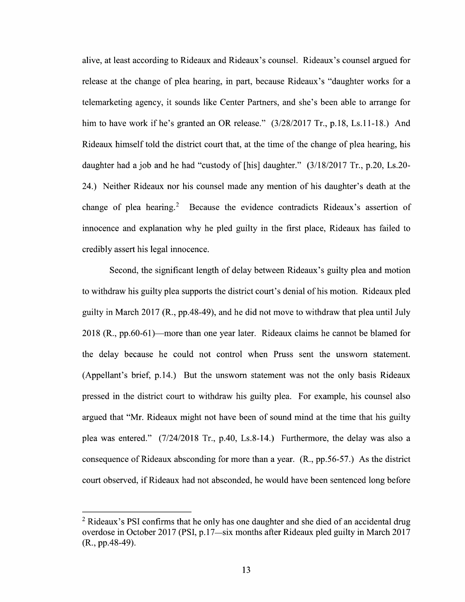alive, at least according to Rideaux and Rideaux's counsel. Rideaux's counsel argued for release at the change of plea hearing, in part, because Rideaux's "daughter works for a telemarketing agency, it sounds like Center Partners, and she's been able to arrange for him to have work if he's granted an OR release."  $(3/28/2017 \text{ Tr.}, p.18, Ls.11-18.)$  And Rideaux himself told the district court that, at the time of the change of plea hearing, his daughter had a job and he had "custody of [his] daughter."  $(3/18/2017 \text{ Tr}$ , p.20, Ls.20-24.) Neither Rideaux nor his counsel made any mention of his daughter's death at the change of plea hearing.<sup>2</sup> Because the evidence contradicts Rideaux's assertion of innocence and explanation why he pled guilty in the first place, Rideaux has failed to credibly assert his legal innocence.

Second, the significant length of delay between Rideaux's guilty plea and motion to withdraw his guilty plea supports the district court's denial of his motion. Rideaux pled guilty in March 2017 (R., pp.48-49), and he did not move to withdraw that plea until July 2018 (R., pp.60-61)—more than one year later. Rideaux claims he cannot be blamed for the delay because he could not control When Pruss sent the unsworn statement. (Appellant's brief, p.14.) But the unsworn statement was not the only basis Rideaux pressed in the district court t0 Withdraw his guilty plea. For example, his counsel also argued that "Mr. Rideaux might not have been 0f sound mind at the time that his guilty plea was entered." (7/24/2018 Tr., p.40, Ls.8-14.) Furthermore, the delay was also a consequence of Rideaux absconding for more than a year.  $(R., pp.56-57.)$  As the district court observed, if Rideaux had not absconded, he would have been sentenced long before

 $2$  Rideaux's PSI confirms that he only has one daughter and she died of an accidental drug overdose in October 2017 (PSI, p.17—siX months after Rideaux pled guilty in March 2017 (R., pp.48-49).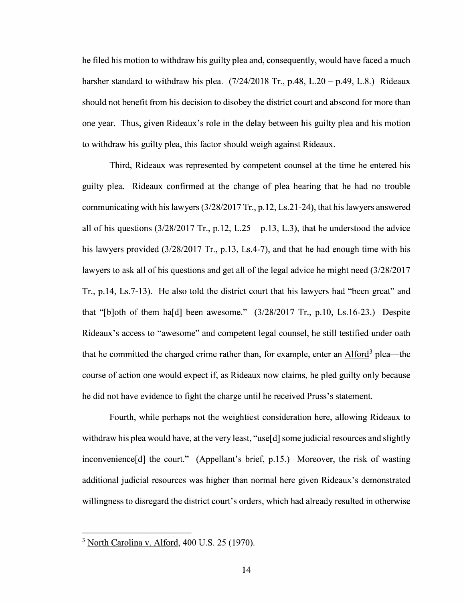he filed his motion to withdraw his guilty plea and, consequently, would have faced a much harsher standard to withdraw his plea.  $(7/24/2018$  Tr., p.48, L.20 – p.49, L.8.) Rideaux should not benefit from his decision to disobey the district court and abscond for more than one year. Thus, given Rideaux's role in the delay between his guilty plea and his motion to withdraw his guilty plea, this factor should weigh against Rideaux.

Third, Rideaux was represented by competent counsel at the time he entered his guilty plea. Rideaux confirmed at the change 0f plea hearing that he had n0 trouble communicating with his lawyers (3/28/2017 Tr., p. 12, Ls.21-24), that his lawyers answered all of his questions  $(3/28/2017 \text{ Tr.}, p.12, L.25 - p.13, L.3)$ , that he understood the advice his lawyers provided (3/28/2017 Tr., p.13, Ls.4-7), and that he had enough time with his lawyers to ask all of his questions and get all of the legal advice he might need (3/28/2017 Tr., p.14, Ls.7-13). He also told the district court that his lawyers had "been great" and that "[b]oth of them ha[d] been awesome."  $(3/28/2017$  Tr., p.10, Ls.16-23.) Despite Rideaux's access to "awesome" and competent legal counsel, he still testified under oath that he committed the charged crime rather than, for example, enter an Alford<sup>3</sup> plea—the course of action one would expect if, as Rideaux now claims, he pled guilty only because he did not have evidence t0 fight the charge until he received Pruss's statement.

Fourth, while perhaps not the weightiest consideration here, allowing Rideaux to withdraw his plea would have, at the very least, "use[d] some judicial resources and slightly inconvenience[d] the court." (Appellant's brief, p.15.) Moreover, the risk of wasting additional judicial resources was higher than normal here given Rideaux's demonstrated willingness to disregard the district court's orders, which had already resulted in otherwise

 $3$  North Carolina v. Alford, 400 U.S. 25 (1970).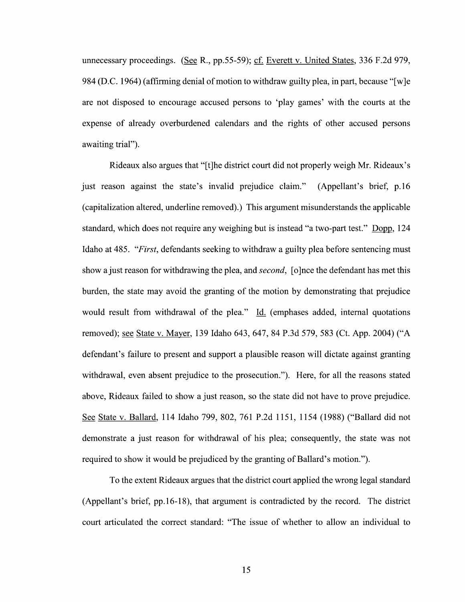unnecessary proceedings. (See R., pp. 55-59); cf. Everett v. United States,  $336$  F.2d 979, 984 (D.C. 1964) (affirming denial of motion to withdraw guilty plea, in part, because "[w]e are not disposed t0 encourage accused persons to 'play games' With the courts at the expense of already overburdened calendars and the rights 0f other accused persons awaiting trial").

Rideaux also argues that "[t]he district court did not properly weigh Mr. Rideaux's just reason against the state's invalid prejudice claim." (Appellant's brief, p.16 (capitalization altered, underline removed).) This argument misunderstands the applicable standard, which does not require any weighing but is instead "a two-part test." Dopp, 124 Idaho at 485. "*First*, defendants seeking to withdraw a guilty plea before sentencing must show a just reason for withdrawing the plea, and *second*, [0]nce the defendant has met this burden, the state may avoid the granting of the motion by demonstrating that prejudice would result from withdrawal of the plea." Id. (emphases added, internal quotations<br>removed); <u>see State v. Mayer</u>, 139 Idaho 643, 647, 84 P.3d 579, 583 (Ct. App. 2004) ("A defendant's failure to present and support a plausible reason will dictate against granting withdrawal, even absent prejudice to the prosecution."). Here, for all the reasons stated above, Rideaux failed to show a just reason, so the state did not have to prove prejudice. See State v. Ballard, 114 Idaho 799, 802, 761 P.2d 1151, 1154 (1988) ("Ballard did not demonstrate a just reason for withdrawal of his plea; consequently, the state was not required to show it would be prejudiced by the granting of Ballard's motion.").

To the extent Rideaux argues that the district court applied the wrong legal standard (Appellant's brief, pp.16-18), that argument is contradicted by the record. The district court articulated the correct standard: "The issue of whether to allow an individual to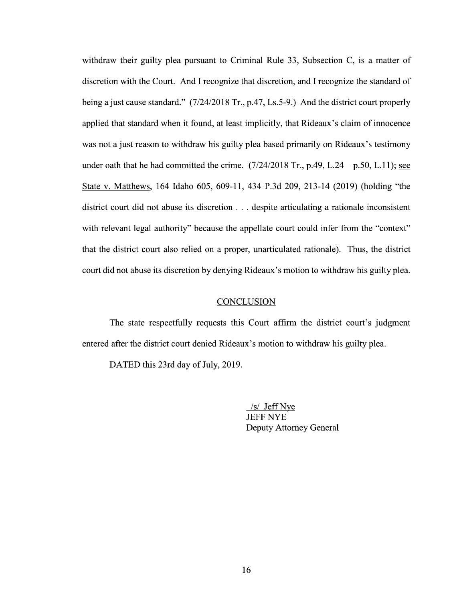withdraw their guilty plea pursuant to Criminal Rule 33, Subsection  $C$ , is a matter of discretion with the Court. And I recognize that discretion, and I recognize the standard of being a just cause standard." (7/24/2018 Tr., p.47, Ls.5-9.) And the district court properly applied that standard when it found, at least implicitly, that Rideaux's claim of innocence was not a just reason to withdraw his guilty plea based primarily on Rideaux's testimony under oath that he had committed the crime.  $(7/24/2018 \text{ Tr}, p.49, L.24 - p.50, L.11)$ ; see State V. Matthews, 164 Idaho 605, 609-11, 434 P.3d 209, 213-14 (2019) (holding "the district court did not abuse its discretion  $\dots$  despite articulating a rationale inconsistent with relevant legal authority" because the appellate court could infer from the "context" that the district court also relied on a proper, unarticulated rationale). Thus, the district court did not abuse its discretion by denying Rideaux's motion to withdraw his guilty plea.

#### **CONCLUSION**

The state respectfully requests this Court affirm the district court's judgment entered after the district court denied Rideaux's motion to withdraw his guilty plea.

DATED this 23rd day of July, 2019.

/s/ Jeff Nye JEFF NYE Deputy Attorney General